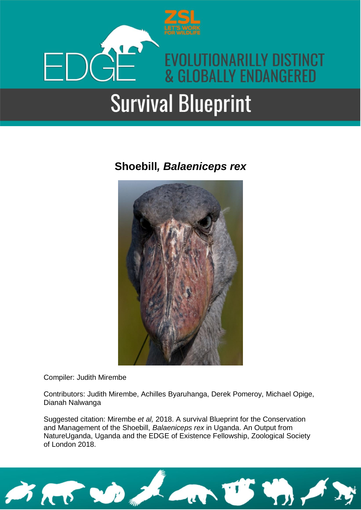

### **Shoebill***, Balaeniceps rex*



Compiler: Judith Mirembe

Contributors: Judith Mirembe, Achilles Byaruhanga, Derek Pomeroy, Michael Opige, Dianah Nalwanga

Suggested citation: Mirembe *et al,* 2018. A survival Blueprint for the Conservation and Management of the Shoebill, *Balaeniceps rex* in Uganda. An Output from NatureUganda, Uganda and the EDGE of Existence Fellowship, Zoological Society of London 2018.

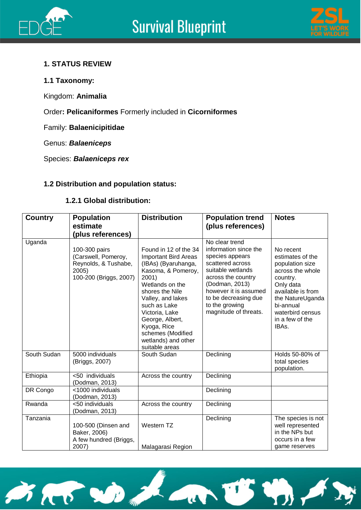



### **1. STATUS REVIEW**

### **1.1 Taxonomy:**

Kingdom: **Animalia**

Order**: Pelicaniformes** Formerly included in **Cicorniformes**

Family: **Balaenicipitidae** 

Genus: *Balaeniceps*

Species: *Balaeniceps rex*

### **1.2 Distribution and population status:**

### **1.2.1 Global distribution:**

| <b>Country</b> | <b>Population</b><br>estimate<br>(plus references)                                              | <b>Distribution</b>                                                                                                                                                                                                                                                                                     | <b>Population trend</b><br>(plus references)                                                                                                                                                                                            | <b>Notes</b>                                                                                                                                                                                        |
|----------------|-------------------------------------------------------------------------------------------------|---------------------------------------------------------------------------------------------------------------------------------------------------------------------------------------------------------------------------------------------------------------------------------------------------------|-----------------------------------------------------------------------------------------------------------------------------------------------------------------------------------------------------------------------------------------|-----------------------------------------------------------------------------------------------------------------------------------------------------------------------------------------------------|
| Uganda         | 100-300 pairs<br>(Carswell, Pomeroy,<br>Reynolds, & Tushabe,<br>2005)<br>100-200 (Briggs, 2007) | Found in 12 of the 34<br><b>Important Bird Areas</b><br>(IBAs) (Byaruhanga,<br>Kasoma, & Pomeroy,<br>2001)<br>Wetlands on the<br>shores the Nile<br>Valley, and lakes<br>such as Lake<br>Victoria, Lake<br>George, Albert,<br>Kyoga, Rice<br>schemes (Modified<br>wetlands) and other<br>suitable areas | No clear trend<br>information since the<br>species appears<br>scattered across<br>suitable wetlands<br>across the country<br>(Dodman, 2013)<br>however it is assumed<br>to be decreasing due<br>to the growing<br>magnitude of threats. | No recent<br>estimates of the<br>population size<br>across the whole<br>country.<br>Only data<br>available is from<br>the NatureUganda<br>bi-annual<br>waterbird census<br>in a few of the<br>IBAs. |
| South Sudan    | 5000 individuals<br>(Briggs, 2007)                                                              | South Sudan                                                                                                                                                                                                                                                                                             | Declining                                                                                                                                                                                                                               | Holds 50-80% of<br>total species<br>population.                                                                                                                                                     |
| Ethiopia       | <50 individuals<br>(Dodman, 2013)                                                               | Across the country                                                                                                                                                                                                                                                                                      | Declining                                                                                                                                                                                                                               |                                                                                                                                                                                                     |
| DR Congo       | <1000 individuals<br>(Dodman, 2013)                                                             |                                                                                                                                                                                                                                                                                                         | Declining                                                                                                                                                                                                                               |                                                                                                                                                                                                     |
| Rwanda         | <50 individuals<br>(Dodman, 2013)                                                               | Across the country                                                                                                                                                                                                                                                                                      | Declining                                                                                                                                                                                                                               |                                                                                                                                                                                                     |
| Tanzania       | 100-500 (Dinsen and<br>Baker, 2006)<br>A few hundred (Briggs,<br>2007)                          | Western TZ<br>Malagarasi Region                                                                                                                                                                                                                                                                         | Declining                                                                                                                                                                                                                               | The species is not<br>well represented<br>in the NPs but<br>occurs in a few<br>game reserves                                                                                                        |

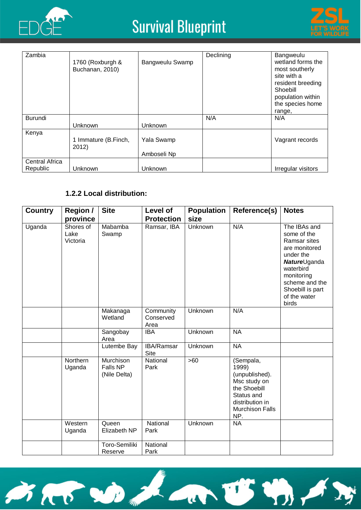



| Zambia                            | 1760 (Roxburgh &<br>Buchanan, 2010) | Bangweulu Swamp           | Declining | Bangweulu<br>wetland forms the<br>most southerly<br>site with a<br>resident breeding<br>Shoebill<br>population within<br>the species home<br>range, |
|-----------------------------------|-------------------------------------|---------------------------|-----------|-----------------------------------------------------------------------------------------------------------------------------------------------------|
| Burundi                           |                                     |                           | N/A       | N/A                                                                                                                                                 |
|                                   | Unknown                             | Unknown                   |           |                                                                                                                                                     |
| Kenya                             | 1 Immature (B.Finch,<br>2012)       | Yala Swamp<br>Amboseli Np |           | Vagrant records                                                                                                                                     |
| <b>Central Africa</b><br>Republic | Unknown                             | Unknown                   |           | Irregular visitors                                                                                                                                  |

### **1.2.2 Local distribution:**

| <b>Country</b> | <b>Region /</b><br>province   | <b>Site</b>                           | Level of<br><b>Protection</b>  | <b>Population</b><br>size | Reference(s)                                                                                                                           | <b>Notes</b>                                                                                                                                                                                |
|----------------|-------------------------------|---------------------------------------|--------------------------------|---------------------------|----------------------------------------------------------------------------------------------------------------------------------------|---------------------------------------------------------------------------------------------------------------------------------------------------------------------------------------------|
| Uganda         | Shores of<br>Lake<br>Victoria | Mabamba<br>Swamp                      | Ramsar, IBA                    | <b>Unknown</b>            | N/A                                                                                                                                    | The IBAs and<br>some of the<br>Ramsar sites<br>are monitored<br>under the<br><b>Nature</b> Uganda<br>waterbird<br>monitoring<br>scheme and the<br>Shoebill is part<br>of the water<br>birds |
|                |                               | Makanaga<br>Wetland                   | Community<br>Conserved<br>Area | Unknown                   | N/A                                                                                                                                    |                                                                                                                                                                                             |
|                |                               | Sangobay<br>Area                      | <b>IBA</b>                     | Unknown                   | <b>NA</b>                                                                                                                              |                                                                                                                                                                                             |
|                |                               | Lutembe Bay                           | IBA/Ramsar<br><b>Site</b>      | Unknown                   | <b>NA</b>                                                                                                                              |                                                                                                                                                                                             |
|                | Northern<br>Uganda            | Murchison<br>Falls NP<br>(Nile Delta) | National<br>Park               | $>60$                     | (Sempala,<br>1999)<br>(unpublished).<br>Msc study on<br>the Shoebill<br>Status and<br>distribution in<br><b>Murchison Falls</b><br>NP. |                                                                                                                                                                                             |
|                | Western<br>Uganda             | Queen<br>Elizabeth NP                 | National<br>Park               | Unknown                   | <b>NA</b>                                                                                                                              |                                                                                                                                                                                             |
|                |                               | Toro-Semiliki<br>Reserve              | National<br>Park               |                           |                                                                                                                                        |                                                                                                                                                                                             |

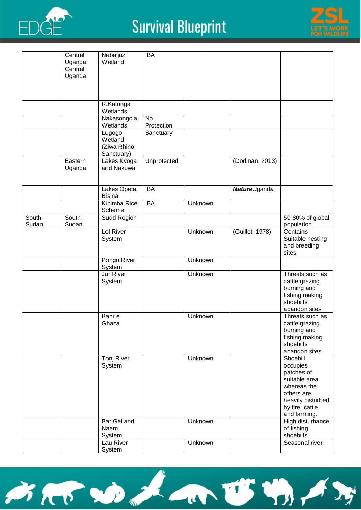



|       | Central<br>Uganda | Nabajjuzi<br>Wetland                 | <b>IBA</b>  |         |                      |                                                                                                                                          |
|-------|-------------------|--------------------------------------|-------------|---------|----------------------|------------------------------------------------------------------------------------------------------------------------------------------|
|       | Central<br>Uganda |                                      |             |         |                      |                                                                                                                                          |
|       |                   |                                      |             |         |                      |                                                                                                                                          |
|       |                   | R.Katonga                            |             |         |                      |                                                                                                                                          |
|       |                   | Wetlands<br>Nakasongola              | No          |         |                      |                                                                                                                                          |
|       |                   | Wetlands                             | Protection  |         |                      |                                                                                                                                          |
|       |                   | Lugogo<br>Wetland                    | Sanctuary   |         |                      |                                                                                                                                          |
|       |                   | (Ziwa Rhino                          |             |         |                      |                                                                                                                                          |
|       |                   | Sanctuary)                           |             |         |                      |                                                                                                                                          |
|       | Eastern<br>Uganda | Lakes Kyoga<br>and Nakuwa            | Unprotected |         | (Dodman, 2013)       |                                                                                                                                          |
|       |                   | Lakes Opeta,<br><b>Bisina</b>        | <b>IBA</b>  |         | <b>Nature</b> Uganda |                                                                                                                                          |
|       |                   | Kibimba Rice<br>Scheme               | <b>IBA</b>  | Unknown |                      |                                                                                                                                          |
| South | South             | Sudd Region                          |             |         |                      | 50-80% of global                                                                                                                         |
| Sudan | Sudan             | Lol River                            |             | Unknown | (Guillet, 1978)      | population<br>Contains                                                                                                                   |
|       |                   | System                               |             |         |                      | Suitable nesting<br>and breeding<br>sites                                                                                                |
|       |                   | Pongo River<br>System                |             | Unknown |                      |                                                                                                                                          |
|       |                   | <b>Jur River</b><br>System           |             | Unknown |                      | Threats such as<br>cattle grazing,<br>burning and<br>fishing making<br>shoebills<br>abandon sites                                        |
|       |                   | Bahr el<br>Ghazal                    |             | Unknown |                      | Threats such as<br>cattle grazing,<br>burning and<br>fishing making<br>shoebills<br>abandon sites                                        |
|       |                   | Tonj River<br>System                 |             | Unknown |                      | Shoebill<br>occupies<br>patches of<br>suitable area<br>whereas the<br>others are<br>heavily disturbed<br>by fire, cattle<br>and farming. |
|       |                   | Bar Gel and<br>Naam<br><b>System</b> |             | Unknown |                      | High disturbance<br>of fishing<br>shoebills                                                                                              |
|       |                   | Lau River                            |             | Unknown |                      | Seasonal river                                                                                                                           |
|       |                   | System                               |             |         |                      |                                                                                                                                          |

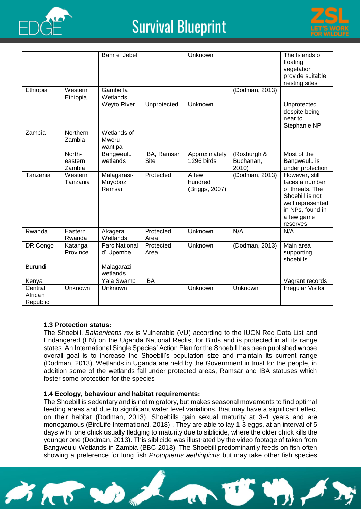



|                                |                             | Bahr el Jebel                          |                            | Unknown                            |                                   | The Islands of<br>floating<br>vegetation<br>provide suitable<br>nesting sites                                                             |
|--------------------------------|-----------------------------|----------------------------------------|----------------------------|------------------------------------|-----------------------------------|-------------------------------------------------------------------------------------------------------------------------------------------|
| Ethiopia                       | Western<br>Ethiopia         | Gambella<br>Wetlands                   |                            |                                    | (Dodman, 2013)                    |                                                                                                                                           |
|                                |                             | Weyto River                            | Unprotected                | Unknown                            |                                   | Unprotected<br>despite being<br>near to<br>Stephanie NP                                                                                   |
| Zambia                         | Northern<br>Zambia          | Wetlands of<br><b>Mweru</b><br>wantipa |                            |                                    |                                   |                                                                                                                                           |
|                                | North-<br>eastern<br>Zambia | Bangweulu<br>wetlands                  | IBA, Ramsar<br><b>Site</b> | Approximately<br>1296 birds        | (Roxburgh &<br>Buchanan,<br>2010) | Most of the<br>Bangweulu is<br>under protection                                                                                           |
| Tanzania                       | Western<br>Tanzania         | Malagarasi-<br>Muyobozi<br>Ramsar      | Protected                  | A few<br>hundred<br>(Briggs, 2007) | (Dodman, 2013)                    | However, still<br>faces a number<br>of threats. The<br>Shoebill is not<br>well represented<br>in NPs, found in<br>a few game<br>reserves. |
| Rwanda                         | Eastern<br>Rwanda           | Akagera<br>Wetlands                    | Protected<br>Area          | Unknown                            | N/A                               | N/A                                                                                                                                       |
| DR Congo                       | Katanga<br>Province         | Parc National<br>d' Upembe             | Protected<br>Area          | Unknown                            | (Dodman, 2013)                    | Main area<br>supporting<br>shoebills                                                                                                      |
| <b>Burundi</b>                 |                             | Malagarazi<br>wetlands                 |                            |                                    |                                   |                                                                                                                                           |
| Kenya                          |                             | Yala Swamp                             | <b>IBA</b>                 |                                    |                                   | Vagrant records                                                                                                                           |
| Central<br>African<br>Republic | Unknown                     | Unknown                                |                            | Unknown                            | Unknown                           | <b>Irregular Visitor</b>                                                                                                                  |

#### **1.3 Protection status:**

The Shoebill, *Balaeniceps rex* is Vulnerable (VU) according to the IUCN Red Data List and Endangered (EN) on the Uganda National Redlist for Birds and is protected in all its range states. An International Single Species' Action Plan for the Shoebill has been published whose overall goal is to increase the Shoebill's population size and maintain its current range (Dodman, 2013). Wetlands in Uganda are held by the Government in trust for the people, in addition some of the wetlands fall under protected areas, Ramsar and IBA statuses which foster some protection for the species

#### **1.4 Ecology, behaviour and habitat requirements:**

The Shoebill is sedentary and is not migratory, but makes seasonal movements to find optimal feeding areas and due to significant water level variations, that may have a significant effect on their habitat (Dodman, 2013). Shoebills gain sexual maturity at 3-4 years and are monogamous (BirdLife International, 2018) . They are able to lay 1-3 eggs, at an interval of 5 days with one chick usually fledging to maturity due to siblicide, where the older chick kills the younger one (Dodman, 2013). This siblicide was illustrated by the video footage of taken from Bangweulu Wetlands in Zambia (BBC 2013). The Shoebill predominantly feeds on fish often showing a preference for lung fish *Protopterus aethiopicus* but may take other fish species

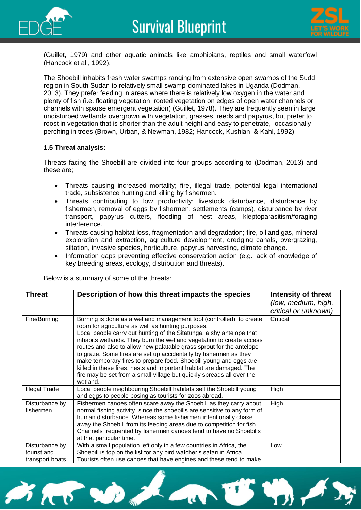



(Guillet, 1979) and other aquatic animals like amphibians, reptiles and small waterfowl (Hancock et al., 1992).

The Shoebill inhabits fresh water swamps ranging from extensive open swamps of the Sudd region in South Sudan to relatively small swamp-dominated lakes in Uganda (Dodman, 2013). They prefer feeding in areas where there is relatively low oxygen in the water and plenty of fish (i.e. floating vegetation, rooted vegetation on edges of open water channels or channels with sparse emergent vegetation) (Guillet, 1978). They are frequently seen in large undisturbed wetlands overgrown with vegetation, grasses, reeds and papyrus, but prefer to roost in vegetation that is shorter than the adult height and easy to penetrate, occasionally perching in trees (Brown, Urban, & Newman, 1982; Hancock, Kushlan, & Kahl, 1992)

#### **1.5 Threat analysis:**

Threats facing the Shoebill are divided into four groups according to (Dodman, 2013) and these are;

- Threats causing increased mortality; fire, illegal trade, potential legal international trade, subsistence hunting and killing by fishermen.
- Threats contributing to low productivity: livestock disturbance, disturbance by fishermen, removal of eggs by fishermen, settlements (camps), disturbance by river transport, papyrus cutters, flooding of nest areas, kleptoparasitism/foraging interference.
- Threats causing habitat loss, fragmentation and degradation; fire, oil and gas, mineral exploration and extraction, agriculture development, dredging canals, overgrazing, siltation, invasive species, horticulture, papyrus harvesting, climate change.
- Information gaps preventing effective conservation action (e.g. lack of knowledge of key breeding areas, ecology, distribution and threats).

| Below is a summary of some of the threats: |  |
|--------------------------------------------|--|
|                                            |  |

| <b>Threat</b>                                    | Description of how this threat impacts the species                                                                                                                                                                                                                                                                                                                                                                                                                                                                                                                                                                                                      | Intensity of threat<br>(low, medium, high,<br>critical or unknown) |
|--------------------------------------------------|---------------------------------------------------------------------------------------------------------------------------------------------------------------------------------------------------------------------------------------------------------------------------------------------------------------------------------------------------------------------------------------------------------------------------------------------------------------------------------------------------------------------------------------------------------------------------------------------------------------------------------------------------------|--------------------------------------------------------------------|
| Fire/Burning                                     | Burning is done as a wetland management tool (controlled), to create<br>room for agriculture as well as hunting purposes.<br>Local people carry out hunting of the Sitatunga, a shy antelope that<br>inhabits wetlands. They burn the wetland vegetation to create access<br>routes and also to allow new palatable grass sprout for the antelope<br>to graze. Some fires are set up accidentally by fishermen as they<br>make temporary fires to prepare food. Shoebill young and eggs are<br>killed in these fires, nests and important habitat are damaged. The<br>fire may be set from a small village but quickly spreads all over the<br>wetland. | Critical                                                           |
| <b>Illegal Trade</b>                             | Local people neighbouring Shoebill habitats sell the Shoebill young<br>and eggs to people posing as tourists for zoos abroad.                                                                                                                                                                                                                                                                                                                                                                                                                                                                                                                           | High                                                               |
| Disturbance by<br>fishermen                      | Fishermen canoes often scare away the Shoebill as they carry about<br>normal fishing activity, since the shoebills are sensitive to any form of<br>human disturbance. Whereas some fishermen intentionally chase<br>away the Shoebill from its feeding areas due to competition for fish.<br>Channels frequented by fishermen canoes tend to have no Shoebills<br>at that particular time.                                                                                                                                                                                                                                                              | High                                                               |
| Disturbance by<br>tourist and<br>transport boats | With a small population left only in a few countries in Africa, the<br>Shoebill is top on the list for any bird watcher's safari in Africa.<br>Tourists often use canoes that have engines and these tend to make                                                                                                                                                                                                                                                                                                                                                                                                                                       | Low                                                                |

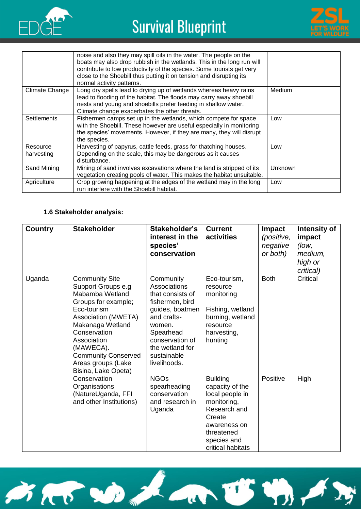



|                        | noise and also they may spill oils in the water. The people on the<br>boats may also drop rubbish in the wetlands. This in the long run will<br>contribute to low productivity of the species. Some tourists get very<br>close to the Shoebill thus putting it on tension and disrupting its<br>normal activity patterns. |                |
|------------------------|---------------------------------------------------------------------------------------------------------------------------------------------------------------------------------------------------------------------------------------------------------------------------------------------------------------------------|----------------|
| Climate Change         | Long dry spells lead to drying up of wetlands whereas heavy rains<br>lead to flooding of the habitat. The floods may carry away shoebill<br>nests and young and shoebills prefer feeding in shallow water.<br>Climate change exacerbates the other threats.                                                               | Medium         |
| <b>Settlements</b>     | Fishermen camps set up in the wetlands, which compete for space<br>with the Shoebill. These however are useful especially in monitoring<br>the species' movements. However, if they are many, they will disrupt<br>the species.                                                                                           | Low            |
| Resource<br>harvesting | Harvesting of papyrus, cattle feeds, grass for thatching houses.<br>Depending on the scale, this may be dangerous as it causes<br>disturbance.                                                                                                                                                                            | Low            |
| Sand Mining            | Mining of sand involves excavations where the land is stripped of its<br>vegetation creating pools of water. This makes the habitat unsuitable.                                                                                                                                                                           | <b>Unknown</b> |
| Agriculture            | Crop growing happening at the edges of the wetland may in the long<br>run interfere with the Shoebill habitat.                                                                                                                                                                                                            | Low            |

### **1.6 Stakeholder analysis:**

| <b>Country</b> | <b>Stakeholder</b>                                                                                                                                                                                                                                                            | Stakeholder's<br>interest in the<br>species'<br>conservation                                                                                                                                   | <b>Current</b><br>activities                                                                                                                                     | <b>Impact</b><br>(positive,<br>negative<br>or both) | Intensity of<br>impact<br>(low,<br>medium,<br>high or<br>critical) |
|----------------|-------------------------------------------------------------------------------------------------------------------------------------------------------------------------------------------------------------------------------------------------------------------------------|------------------------------------------------------------------------------------------------------------------------------------------------------------------------------------------------|------------------------------------------------------------------------------------------------------------------------------------------------------------------|-----------------------------------------------------|--------------------------------------------------------------------|
| Uganda         | <b>Community Site</b><br>Support Groups e.g<br>Mabamba Wetland<br>Groups for example;<br>Eco-tourism<br><b>Association (MWETA)</b><br>Makanaga Wetland<br>Conservation<br>Association<br>(MAWECA).<br><b>Community Conserved</b><br>Areas groups (Lake<br>Bisina, Lake Opeta) | Community<br>Associations<br>that consists of<br>fishermen, bird<br>guides, boatmen<br>and crafts-<br>women.<br>Spearhead<br>conservation of<br>the wetland for<br>sustainable<br>livelihoods. | Eco-tourism,<br>resource<br>monitoring<br>Fishing, wetland<br>burning, wetland<br>resource<br>harvesting,<br>hunting                                             | <b>Both</b>                                         | Critical                                                           |
|                | Conservation<br>Organisations<br>(NatureUganda, FFI<br>and other Institutions)                                                                                                                                                                                                | <b>NGOs</b><br>spearheading<br>conservation<br>and research in<br>Uganda                                                                                                                       | <b>Building</b><br>capacity of the<br>local people in<br>monitoring,<br>Research and<br>Create<br>awareness on<br>threatened<br>species and<br>critical habitats | Positive                                            | High                                                               |

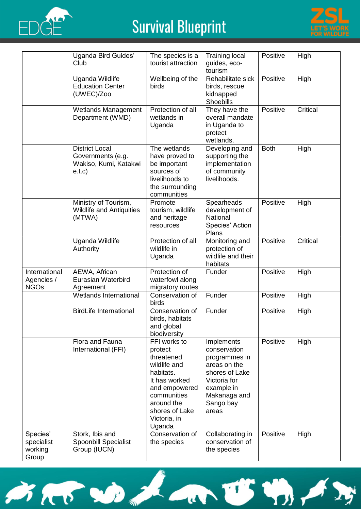



|                                            | Uganda Bird Guides'<br>Club                                                   | The species is a<br>tourist attraction                                                                                                                                        | <b>Training local</b><br>guides, eco-<br>tourism                                                                                                  | Positive    | High     |
|--------------------------------------------|-------------------------------------------------------------------------------|-------------------------------------------------------------------------------------------------------------------------------------------------------------------------------|---------------------------------------------------------------------------------------------------------------------------------------------------|-------------|----------|
|                                            | Uganda Wildlife<br><b>Education Center</b><br>(UWEC)/Zoo                      | Wellbeing of the<br>birds                                                                                                                                                     | Rehabilitate sick<br>birds, rescue<br>kidnapped<br>Shoebills                                                                                      | Positive    | High     |
|                                            | <b>Wetlands Management</b><br>Department (WMD)                                | Protection of all<br>wetlands in<br>Uganda                                                                                                                                    | They have the<br>overall mandate<br>in Uganda to<br>protect<br>wetlands.                                                                          | Positive    | Critical |
|                                            | <b>District Local</b><br>Governments (e.g.<br>Wakiso, Kumi, Katakwi<br>e.t.c) | The wetlands<br>have proved to<br>be important<br>sources of<br>livelihoods to<br>the surrounding<br>communities                                                              | Developing and<br>supporting the<br>implementation<br>of community<br>livelihoods.                                                                | <b>Both</b> | High     |
|                                            | Ministry of Tourism,<br><b>Wildlife and Antiquities</b><br>(MTWA)             | Promote<br>tourism, wildlife<br>and heritage<br>resources                                                                                                                     | Spearheads<br>development of<br>National<br>Species' Action<br>Plans                                                                              | Positive    | High     |
|                                            | <b>Uganda Wildlife</b><br>Authority                                           | Protection of all<br>wildlife in<br>Uganda                                                                                                                                    | Monitoring and<br>protection of<br>wildlife and their<br>habitats                                                                                 | Positive    | Critical |
| International<br>Agencies /<br><b>NGOs</b> | AEWA, African<br>Eurasian Waterbird<br>Agreement                              | Protection of<br>waterfowl along<br>migratory routes                                                                                                                          | Funder                                                                                                                                            | Positive    | High     |
|                                            | Wetlands International                                                        | Conservation of<br>birds                                                                                                                                                      | Funder                                                                                                                                            | Positive    | High     |
|                                            | <b>BirdLife International</b>                                                 | Conservation of<br>birds, habitats<br>and global<br>biodiversity                                                                                                              | Funder                                                                                                                                            | Positive    | High     |
|                                            | Flora and Fauna<br>International (FFI)                                        | FFI works to<br>protect<br>threatened<br>wildlife and<br>habitats.<br>It has worked<br>and empowered<br>communities<br>around the<br>shores of Lake<br>Victoria, in<br>Uganda | Implements<br>conservation<br>programmes in<br>areas on the<br>shores of Lake<br>Victoria for<br>example in<br>Makanaga and<br>Sango bay<br>areas | Positive    | High     |
| Species'<br>specialist<br>working<br>Group | Stork, Ibis and<br><b>Spoonbill Specialist</b><br>Group (IUCN)                | Conservation of<br>the species                                                                                                                                                | Collaborating in<br>conservation of<br>the species                                                                                                | Positive    | High     |

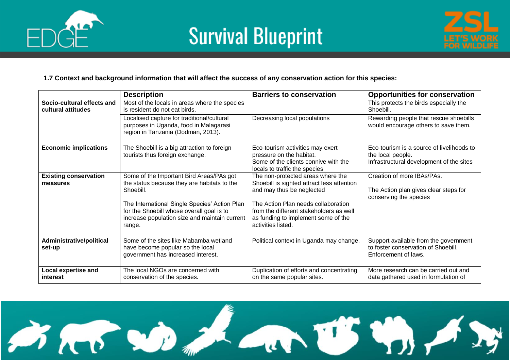





#### **1.7 Context and background information that will affect the success of any conservation action for this species:**

|                                                  | <b>Description</b>                                                                                                                                    | <b>Barriers to conservation</b>                                                                                                             | <b>Opportunities for conservation</b>                                                                      |
|--------------------------------------------------|-------------------------------------------------------------------------------------------------------------------------------------------------------|---------------------------------------------------------------------------------------------------------------------------------------------|------------------------------------------------------------------------------------------------------------|
| Socio-cultural effects and<br>cultural attitudes | Most of the locals in areas where the species<br>is resident do not eat birds.                                                                        |                                                                                                                                             | This protects the birds especially the<br>Shoebill.                                                        |
|                                                  | Localised capture for traditional/cultural<br>purposes in Uganda, food in Malagarasi<br>region in Tanzania (Dodman, 2013).                            | Decreasing local populations                                                                                                                | Rewarding people that rescue shoebills<br>would encourage others to save them.                             |
| <b>Economic implications</b>                     | The Shoebill is a big attraction to foreign<br>tourists thus foreign exchange.                                                                        | Eco-tourism activities may exert<br>pressure on the habitat.<br>Some of the clients connive with the<br>locals to traffic the species       | Eco-tourism is a source of livelihoods to<br>the local people.<br>Infrastructural development of the sites |
| <b>Existing conservation</b><br>measures         | Some of the Important Bird Areas/PAs got<br>the status because they are habitats to the<br>Shoebill.                                                  | The non-protected areas where the<br>Shoebill is sighted attract less attention<br>and may thus be neglected                                | Creation of more IBAs/PAs.<br>The Action plan gives clear steps for                                        |
|                                                  | The International Single Species' Action Plan<br>for the Shoebill whose overall goal is to<br>increase population size and maintain current<br>range. | The Action Plan needs collaboration<br>from the different stakeholders as well<br>as funding to implement some of the<br>activities listed. | conserving the species                                                                                     |
| Administrative/political<br>set-up               | Some of the sites like Mabamba wetland<br>have become popular so the local<br>government has increased interest.                                      | Political context in Uganda may change.                                                                                                     | Support available from the government<br>to foster conservation of Shoebill.<br>Enforcement of laws.       |
| Local expertise and<br>interest                  | The local NGOs are concerned with<br>conservation of the species.                                                                                     | Duplication of efforts and concentrating<br>on the same popular sites.                                                                      | More research can be carried out and<br>data gathered used in formulation of                               |

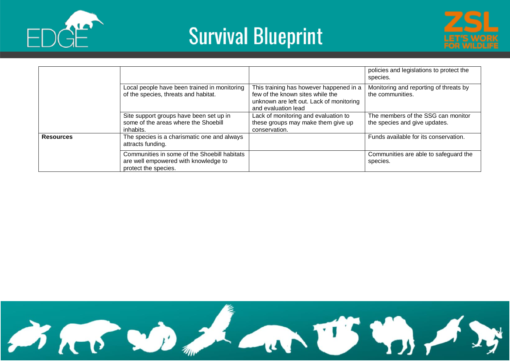





|                  |                                                                                                              |                                                                                                                                                | policies and legislations to protect the<br>species.                |
|------------------|--------------------------------------------------------------------------------------------------------------|------------------------------------------------------------------------------------------------------------------------------------------------|---------------------------------------------------------------------|
|                  | Local people have been trained in monitoring<br>of the species, threats and habitat.                         | This training has however happened in a<br>few of the known sites while the<br>unknown are left out. Lack of monitoring<br>and evaluation lead | Monitoring and reporting of threats by<br>the communities.          |
|                  | Site support groups have been set up in<br>some of the areas where the Shoebill<br>inhabits.                 | Lack of monitoring and evaluation to<br>these groups may make them give up<br>conservation.                                                    | The members of the SSG can monitor<br>the species and give updates. |
| <b>Resources</b> | The species is a charismatic one and always<br>attracts funding.                                             |                                                                                                                                                | Funds available for its conservation.                               |
|                  | Communities in some of the Shoebill habitats<br>are well empowered with knowledge to<br>protect the species. |                                                                                                                                                | Communities are able to safeguard the<br>species.                   |

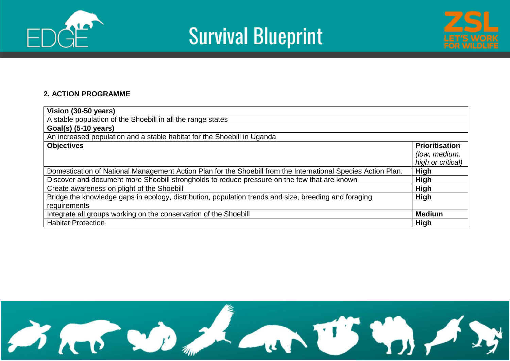





### **2. ACTION PROGRAMME**

| Vision (30-50 years)                                                                                          |                       |
|---------------------------------------------------------------------------------------------------------------|-----------------------|
| A stable population of the Shoebill in all the range states                                                   |                       |
| Goal(s) (5-10 years)                                                                                          |                       |
| An increased population and a stable habitat for the Shoebill in Uganda                                       |                       |
| <b>Objectives</b>                                                                                             | <b>Prioritisation</b> |
|                                                                                                               | (low, medium,         |
|                                                                                                               | high or critical)     |
| Domestication of National Management Action Plan for the Shoebill from the International Species Action Plan. | High                  |
| Discover and document more Shoebill strongholds to reduce pressure on the few that are known                  | <b>High</b>           |
| Create awareness on plight of the Shoebill                                                                    | <b>High</b>           |
| Bridge the knowledge gaps in ecology, distribution, population trends and size, breeding and foraging         | <b>High</b>           |
| requirements                                                                                                  |                       |
| Integrate all groups working on the conservation of the Shoebill                                              | <b>Medium</b>         |
| <b>Habitat Protection</b>                                                                                     | High                  |

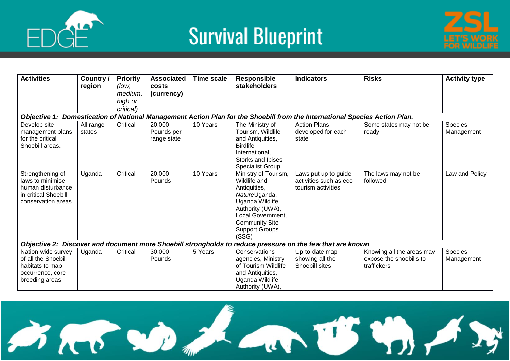



| <b>Activities</b>                                                                                       | Country /<br>region | <b>Priority</b><br>(low,<br>medium, | <b>Associated</b><br>costs<br>(currency) | Time scale | <b>Responsible</b><br><b>stakeholders</b>                                                                                                                                                    | <b>Indicators</b>                                                                                                          | <b>Risks</b>                                                        | <b>Activity type</b>  |
|---------------------------------------------------------------------------------------------------------|---------------------|-------------------------------------|------------------------------------------|------------|----------------------------------------------------------------------------------------------------------------------------------------------------------------------------------------------|----------------------------------------------------------------------------------------------------------------------------|---------------------------------------------------------------------|-----------------------|
|                                                                                                         |                     | high or                             |                                          |            |                                                                                                                                                                                              |                                                                                                                            |                                                                     |                       |
|                                                                                                         |                     | critical)                           |                                          |            |                                                                                                                                                                                              |                                                                                                                            |                                                                     |                       |
|                                                                                                         |                     |                                     |                                          |            |                                                                                                                                                                                              | Objective 1: Domestication of National Management Action Plan for the Shoebill from the International Species Action Plan. |                                                                     |                       |
| Develop site                                                                                            | All range           | Critical                            | 20,000                                   | 10 Years   | The Ministry of                                                                                                                                                                              | <b>Action Plans</b>                                                                                                        | Some states may not be                                              | Species               |
| management plans                                                                                        | states              |                                     | Pounds per                               |            | Tourism, Wildlife                                                                                                                                                                            | developed for each                                                                                                         | ready                                                               | Management            |
| for the critical                                                                                        |                     |                                     | range state                              |            | and Antiquities,                                                                                                                                                                             | state                                                                                                                      |                                                                     |                       |
| Shoebill areas.                                                                                         |                     |                                     |                                          |            | <b>Birdlife</b>                                                                                                                                                                              |                                                                                                                            |                                                                     |                       |
|                                                                                                         |                     |                                     |                                          |            | International,                                                                                                                                                                               |                                                                                                                            |                                                                     |                       |
|                                                                                                         |                     |                                     |                                          |            | Storks and Ibises                                                                                                                                                                            |                                                                                                                            |                                                                     |                       |
|                                                                                                         |                     |                                     |                                          |            | Specialist Group                                                                                                                                                                             |                                                                                                                            |                                                                     |                       |
| Strengthening of<br>laws to minimise<br>human disturbance<br>in critical Shoebill<br>conservation areas | Uganda              | Critical                            | 20,000<br>Pounds                         | 10 Years   | Ministry of Tourism,<br>Wildlife and<br>Antiquities,<br>NatureUganda,<br>Uganda Wildlife<br>Authority (UWA),<br>Local Government,<br><b>Community Site</b><br><b>Support Groups</b><br>(SSG) | Laws put up to guide<br>activities such as eco-<br>tourism activities                                                      | The laws may not be<br>followed                                     | Law and Policy        |
|                                                                                                         |                     |                                     |                                          |            |                                                                                                                                                                                              | Objective 2: Discover and document more Shoebill strongholds to reduce pressure on the few that are known                  |                                                                     |                       |
| Nation-wide survey<br>of all the Shoebill<br>habitats to map<br>occurrence, core<br>breeding areas      | Uganda              | Critical                            | 30,000<br>Pounds                         | 5 Years    | Conservations<br>agencies, Ministry<br>of Tourism Wildlife<br>and Antiquities,<br>Uganda Wildlife<br>Authority (UWA),                                                                        | Up-to-date map<br>showing all the<br>Shoebill sites                                                                        | Knowing all the areas may<br>expose the shoebills to<br>traffickers | Species<br>Management |

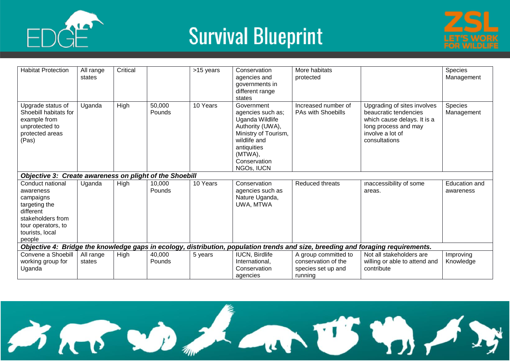



| <b>Habitat Protection</b>                                                                                                                        | All range<br>states                                                                                                              | Critical |                  | >15 years | Conservation<br>agencies and<br>governments in<br>different range<br>states                                                                                            | More habitats<br>protected                                                   |                                                                                                                                                  | Species<br>Management      |  |
|--------------------------------------------------------------------------------------------------------------------------------------------------|----------------------------------------------------------------------------------------------------------------------------------|----------|------------------|-----------|------------------------------------------------------------------------------------------------------------------------------------------------------------------------|------------------------------------------------------------------------------|--------------------------------------------------------------------------------------------------------------------------------------------------|----------------------------|--|
| Upgrade status of<br>Shoebill habitats for<br>example from<br>unprotected to<br>protected areas<br>(Pas)                                         | Uganda                                                                                                                           | High     | 50,000<br>Pounds | 10 Years  | Government<br>agencies such as;<br>Uganda Wildlife<br>Authority (UWA),<br>Ministry of Tourism,<br>wildlife and<br>antiquities<br>(MTWA),<br>Conservation<br>NGOs, IUCN | Increased number of<br>PAs with Shoebills                                    | Upgrading of sites involves<br>beaucratic tendencies<br>which cause delays. It is a<br>long process and may<br>involve a lot of<br>consultations | Species<br>Management      |  |
| Objective 3: Create awareness on plight of the Shoebill                                                                                          |                                                                                                                                  |          |                  |           |                                                                                                                                                                        |                                                                              |                                                                                                                                                  |                            |  |
| Conduct national<br>awareness<br>campaigns<br>targeting the<br>different<br>stakeholders from<br>tour operators, to<br>tourists, local<br>people | Uganda                                                                                                                           | High     | 10,000<br>Pounds | 10 Years  | Conservation<br>agencies such as<br>Nature Uganda,<br>UWA, MTWA                                                                                                        | Reduced threats                                                              | inaccessibility of some<br>areas.                                                                                                                | Education and<br>awareness |  |
|                                                                                                                                                  | Objective 4: Bridge the knowledge gaps in ecology, distribution, population trends and size, breeding and foraging requirements. |          |                  |           |                                                                                                                                                                        |                                                                              |                                                                                                                                                  |                            |  |
| Convene a Shoebill<br>working group for<br>Uganda                                                                                                | All range<br>states                                                                                                              | High     | 40,000<br>Pounds | 5 years   | <b>IUCN, Birdlife</b><br>International,<br>Conservation<br>agencies                                                                                                    | A group committed to<br>conservation of the<br>species set up and<br>running | Not all stakeholders are<br>willing or able to attend and<br>contribute                                                                          | Improving<br>Knowledge     |  |

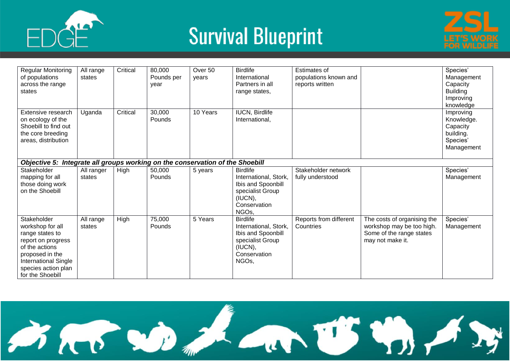





| <b>Regular Monitoring</b><br>of populations<br>across the range<br>states                                                                                                        | All range<br>states  | Critical | 80,000<br>Pounds per<br>vear | Over 50<br>years | <b>Birdlife</b><br>International<br>Partners in all<br>range states,                                                   | <b>Estimates of</b><br>populations known and<br>reports written |                                                                                                          | Species'<br>Management<br>Capacity<br><b>Building</b><br>Improving<br>knowledge |
|----------------------------------------------------------------------------------------------------------------------------------------------------------------------------------|----------------------|----------|------------------------------|------------------|------------------------------------------------------------------------------------------------------------------------|-----------------------------------------------------------------|----------------------------------------------------------------------------------------------------------|---------------------------------------------------------------------------------|
| Extensive research<br>on ecology of the<br>Shoebill to find out<br>the core breeding<br>areas, distribution                                                                      | Uganda               | Critical | 30,000<br>Pounds             | 10 Years         | <b>IUCN, Birdlife</b><br>International,                                                                                |                                                                 |                                                                                                          | Improving<br>Knowledge.<br>Capacity<br>building.<br>Species'<br>Management      |
| Objective 5: Integrate all groups working on the conservation of the Shoebill                                                                                                    |                      |          |                              |                  |                                                                                                                        |                                                                 |                                                                                                          |                                                                                 |
| Stakeholder<br>mapping for all<br>those doing work<br>on the Shoebill                                                                                                            | All ranger<br>states | High     | 50,000<br>Pounds             | 5 years          | <b>Birdlife</b><br>International, Stork,<br>Ibis and Spoonbill<br>specialist Group<br>(IUCN),<br>Conservation<br>NGOs, | Stakeholder network<br>fully understood                         |                                                                                                          | Species'<br>Management                                                          |
| Stakeholder<br>workshop for all<br>range states to<br>report on progress<br>of the actions<br>proposed in the<br>International Single<br>species action plan<br>for the Shoebill | All range<br>states  | High     | 75,000<br>Pounds             | 5 Years          | <b>Birdlife</b><br>International, Stork,<br>Ibis and Spoonbill<br>specialist Group<br>(IUCN),<br>Conservation<br>NGOs, | Reports from different<br>Countries                             | The costs of organising the<br>workshop may be too high.<br>Some of the range states<br>may not make it. | Species'<br>Management                                                          |